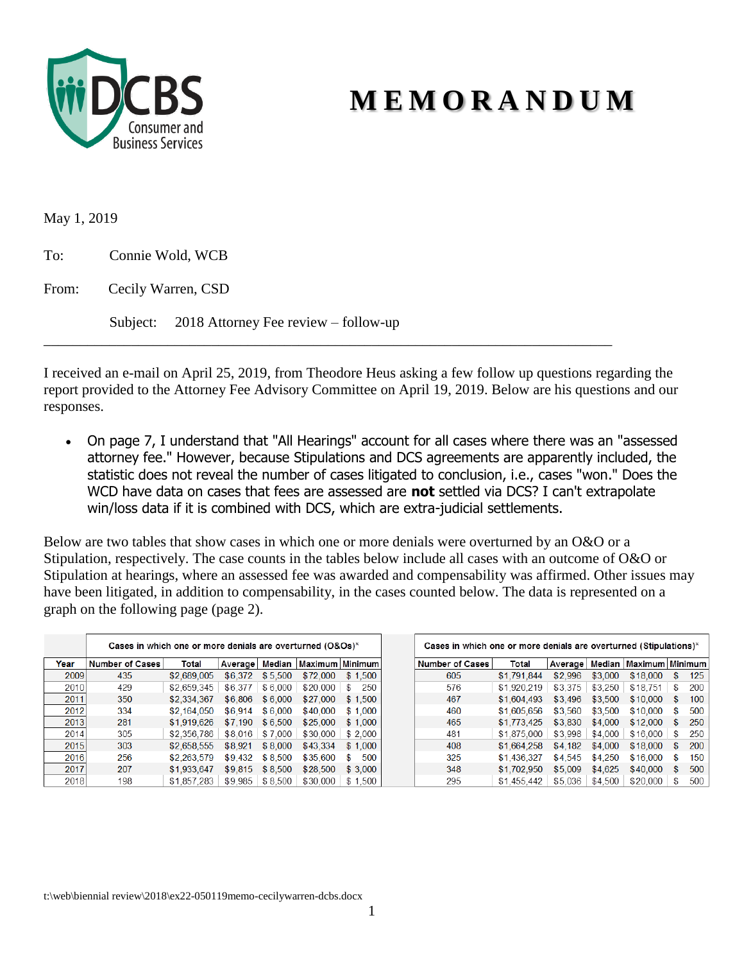

## **M E M O R A N D U M**

May 1, 2019

To: Connie Wold, WCB

From: Cecily Warren, CSD

Subject: 2018 Attorney Fee review – follow-up

I received an e-mail on April 25, 2019, from Theodore Heus asking a few follow up questions regarding the report provided to the Attorney Fee Advisory Committee on April 19, 2019. Below are his questions and our responses.

\_\_\_\_\_\_\_\_\_\_\_\_\_\_\_\_\_\_\_\_\_\_\_\_\_\_\_\_\_\_\_\_\_\_\_\_\_\_\_\_\_\_\_\_\_\_\_\_\_\_\_\_\_\_\_\_\_\_\_\_\_\_\_\_\_\_\_\_\_\_\_\_\_\_\_\_\_\_

 On page 7, I understand that "All Hearings" account for all cases where there was an "assessed attorney fee." However, because Stipulations and DCS agreements are apparently included, the statistic does not reveal the number of cases litigated to conclusion, i.e., cases "won." Does the WCD have data on cases that fees are assessed are **not** settled via DCS? I can't extrapolate win/loss data if it is combined with DCS, which are extra-judicial settlements.

Below are two tables that show cases in which one or more denials were overturned by an O&O or a Stipulation, respectively. The case counts in the tables below include all cases with an outcome of O&O or Stipulation at hearings, where an assessed fee was awarded and compensability was affirmed. Other issues may have been litigated, in addition to compensability, in the cases counted below. The data is represented on a graph on the following page (page 2).

|      | Cases in which one or more denials are overturned (O&Os)* |             |         |         |          |              |  |  |  |  |
|------|-----------------------------------------------------------|-------------|---------|---------|----------|--------------|--|--|--|--|
| Year | <b>Number of Cases</b>                                    | Total       | Average | Median  | Maximum  | Minimur      |  |  |  |  |
| 2009 | 435                                                       | \$2,689,005 | \$6,372 | \$5,500 | \$72,000 | 1,500<br>\$. |  |  |  |  |
| 2010 | 429                                                       | \$2,659,345 | \$6,377 | \$6,000 | \$20,000 | 250<br>S     |  |  |  |  |
| 2011 | 350                                                       | \$2,334,367 | \$6,806 | \$6,000 | \$27,000 | \$1,500      |  |  |  |  |
| 2012 | 334                                                       | \$2,164,050 | \$6,914 | \$6,000 | \$40,000 | \$1,000      |  |  |  |  |
| 2013 | 281                                                       | \$1,919,626 | \$7,190 | \$6,500 | \$25,000 | \$1,000      |  |  |  |  |
| 2014 | 305                                                       | \$2.356.786 | \$8,016 | \$7.000 | \$30,000 | \$2,000      |  |  |  |  |
| 2015 | 303                                                       | \$2,658,555 | \$8,921 | \$8,000 | \$43,334 | \$1,000      |  |  |  |  |
| 2016 | 256                                                       | \$2.263.579 | \$9,432 | \$8,500 | \$35,600 | 500<br>\$    |  |  |  |  |
| 2017 | 207                                                       | \$1,933,647 | \$9,815 | \$8,500 | \$28,500 | \$3,000      |  |  |  |  |
| 2018 | 198                                                       | \$1,857,283 | \$9,985 | \$8,500 | \$30,000 | 1,500<br>\$. |  |  |  |  |

| Cases in which one or more denials are overturned (Stipulations)* |             |         |         |          |    |         |  |  |  |  |  |
|-------------------------------------------------------------------|-------------|---------|---------|----------|----|---------|--|--|--|--|--|
| <b>Number of Cases</b>                                            | Total       | Average | Median  | Maximum  |    | Minimum |  |  |  |  |  |
| 605                                                               | \$1,791,844 | \$2,996 | \$3,000 | \$18,000 | \$ | 125     |  |  |  |  |  |
| 576                                                               | \$1,920,219 | \$3,375 | \$3,250 | \$18.751 | \$ | 200     |  |  |  |  |  |
| 467                                                               | \$1,604,493 | \$3.496 | \$3,500 | \$10,000 | \$ | 100     |  |  |  |  |  |
| 460                                                               | \$1,605,656 | \$3,560 | \$3,500 | \$10,000 | \$ | 500     |  |  |  |  |  |
| 465                                                               | \$1,773,425 | \$3,830 | \$4,000 | \$12,000 | \$ | 250     |  |  |  |  |  |
| 481                                                               | \$1,875,000 | \$3.998 | \$4,000 | \$16,000 | \$ | 250     |  |  |  |  |  |
| 408                                                               | \$1,664,258 | \$4,182 | \$4,000 | \$18,000 | \$ | 200     |  |  |  |  |  |
| 325                                                               | \$1,436,327 | \$4,545 | \$4,250 | \$16,000 | \$ | 150     |  |  |  |  |  |
| 348                                                               | \$1,702,950 | \$5,009 | \$4,625 | \$40,000 | \$ | 500     |  |  |  |  |  |
| 295                                                               | \$1.455.442 | \$5.036 | \$4,500 | \$20.000 | \$ | 500     |  |  |  |  |  |

t:\web\biennial review\2018\ex22-050119memo-cecilywarren-dcbs.docx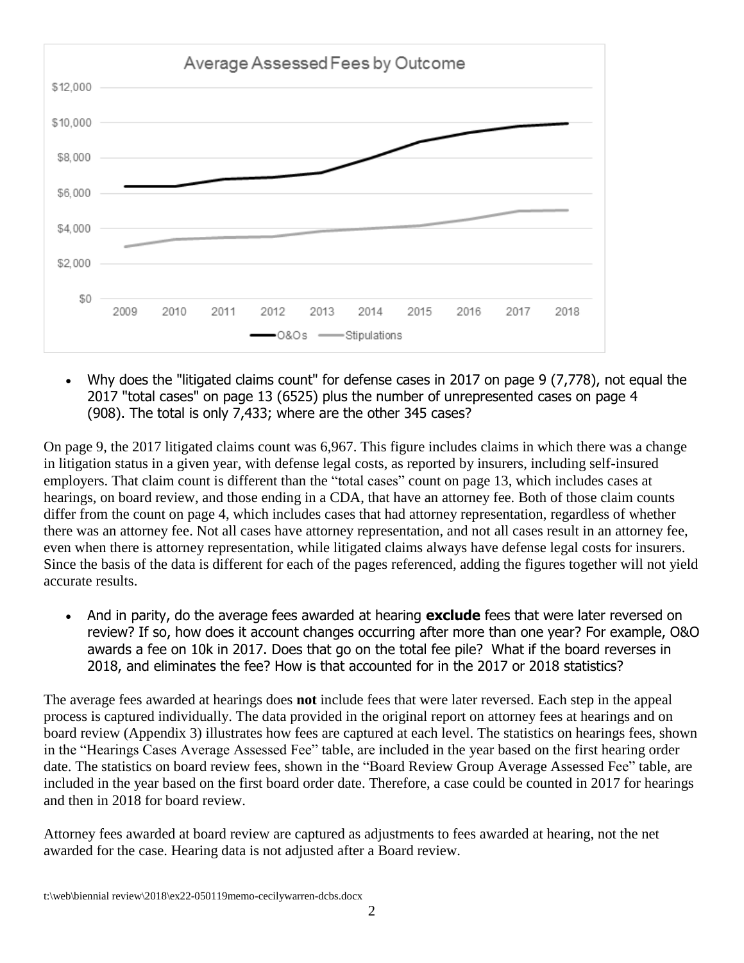

 Why does the "litigated claims count" for defense cases in 2017 on page 9 (7,778), not equal the 2017 "total cases" on page 13 (6525) plus the number of unrepresented cases on page 4 (908). The total is only 7,433; where are the other 345 cases?

On page 9, the 2017 litigated claims count was 6,967. This figure includes claims in which there was a change in litigation status in a given year, with defense legal costs, as reported by insurers, including self-insured employers. That claim count is different than the "total cases" count on page 13, which includes cases at hearings, on board review, and those ending in a CDA, that have an attorney fee. Both of those claim counts differ from the count on page 4, which includes cases that had attorney representation, regardless of whether there was an attorney fee. Not all cases have attorney representation, and not all cases result in an attorney fee, even when there is attorney representation, while litigated claims always have defense legal costs for insurers. Since the basis of the data is different for each of the pages referenced, adding the figures together will not yield accurate results.

 And in parity, do the average fees awarded at hearing **exclude** fees that were later reversed on review? If so, how does it account changes occurring after more than one year? For example, O&O awards a fee on 10k in 2017. Does that go on the total fee pile? What if the board reverses in 2018, and eliminates the fee? How is that accounted for in the 2017 or 2018 statistics?

The average fees awarded at hearings does **not** include fees that were later reversed. Each step in the appeal process is captured individually. The data provided in the original report on attorney fees at hearings and on board review (Appendix 3) illustrates how fees are captured at each level. The statistics on hearings fees, shown in the "Hearings Cases Average Assessed Fee" table, are included in the year based on the first hearing order date. The statistics on board review fees, shown in the "Board Review Group Average Assessed Fee" table, are included in the year based on the first board order date. Therefore, a case could be counted in 2017 for hearings and then in 2018 for board review.

Attorney fees awarded at board review are captured as adjustments to fees awarded at hearing, not the net awarded for the case. Hearing data is not adjusted after a Board review.